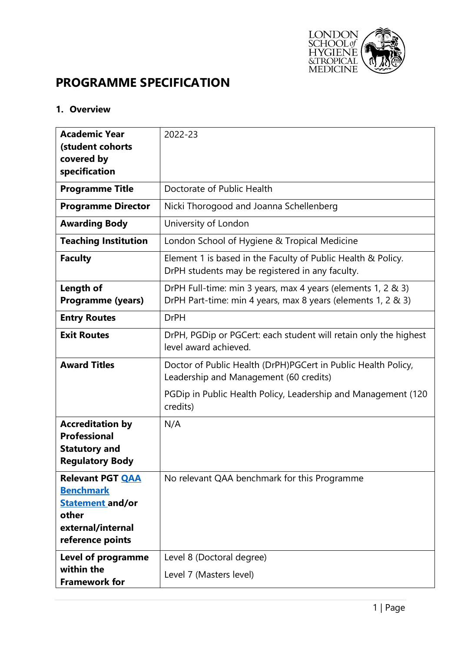

# **PROGRAMME SPECIFICATION**

# **1. Overview**

| <b>Academic Year</b><br>(student cohorts<br>covered by<br>specification                                                  | 2022-23                                                                                                                      |  |  |  |  |
|--------------------------------------------------------------------------------------------------------------------------|------------------------------------------------------------------------------------------------------------------------------|--|--|--|--|
| <b>Programme Title</b>                                                                                                   | Doctorate of Public Health                                                                                                   |  |  |  |  |
| <b>Programme Director</b>                                                                                                | Nicki Thorogood and Joanna Schellenberg                                                                                      |  |  |  |  |
| <b>Awarding Body</b>                                                                                                     | University of London                                                                                                         |  |  |  |  |
| <b>Teaching Institution</b>                                                                                              | London School of Hygiene & Tropical Medicine                                                                                 |  |  |  |  |
| <b>Faculty</b>                                                                                                           | Element 1 is based in the Faculty of Public Health & Policy.<br>DrPH students may be registered in any faculty.              |  |  |  |  |
| Length of<br><b>Programme (years)</b>                                                                                    | DrPH Full-time: min 3 years, max 4 years (elements 1, 2 & 3)<br>DrPH Part-time: min 4 years, max 8 years (elements 1, 2 & 3) |  |  |  |  |
| <b>Entry Routes</b>                                                                                                      | <b>DrPH</b>                                                                                                                  |  |  |  |  |
| <b>Exit Routes</b>                                                                                                       | DrPH, PGDip or PGCert: each student will retain only the highest<br>level award achieved.                                    |  |  |  |  |
| <b>Award Titles</b>                                                                                                      | Doctor of Public Health (DrPH)PGCert in Public Health Policy,<br>Leadership and Management (60 credits)                      |  |  |  |  |
|                                                                                                                          | PGDip in Public Health Policy, Leadership and Management (120<br>credits)                                                    |  |  |  |  |
| <b>Accreditation by</b><br><b>Professional</b><br><b>Statutory and</b><br><b>Regulatory Body</b>                         | N/A                                                                                                                          |  |  |  |  |
| <b>Relevant PGT QAA</b><br><b>Benchmark</b><br><b>Statement and/or</b><br>other<br>external/internal<br>reference points | No relevant QAA benchmark for this Programme                                                                                 |  |  |  |  |
| Level of programme<br>within the<br><b>Framework for</b>                                                                 | Level 8 (Doctoral degree)<br>Level 7 (Masters level)                                                                         |  |  |  |  |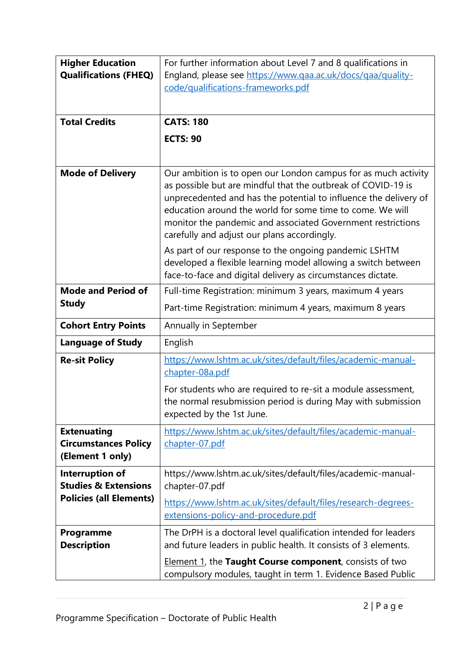| <b>Higher Education</b><br><b>Qualifications (FHEQ)</b><br><b>Total Credits</b>      | For further information about Level 7 and 8 qualifications in<br>England, please see https://www.qaa.ac.uk/docs/qaa/quality-<br>code/qualifications-frameworks.pdf<br><b>CATS: 180</b>                                                                                                                                                                                                                                                 |  |  |  |  |
|--------------------------------------------------------------------------------------|----------------------------------------------------------------------------------------------------------------------------------------------------------------------------------------------------------------------------------------------------------------------------------------------------------------------------------------------------------------------------------------------------------------------------------------|--|--|--|--|
|                                                                                      | <b>ECTS: 90</b>                                                                                                                                                                                                                                                                                                                                                                                                                        |  |  |  |  |
| <b>Mode of Delivery</b>                                                              | Our ambition is to open our London campus for as much activity<br>as possible but are mindful that the outbreak of COVID-19 is<br>unprecedented and has the potential to influence the delivery of<br>education around the world for some time to come. We will<br>monitor the pandemic and associated Government restrictions<br>carefully and adjust our plans accordingly.<br>As part of our response to the ongoing pandemic LSHTM |  |  |  |  |
|                                                                                      | developed a flexible learning model allowing a switch between<br>face-to-face and digital delivery as circumstances dictate.                                                                                                                                                                                                                                                                                                           |  |  |  |  |
| <b>Mode and Period of</b>                                                            | Full-time Registration: minimum 3 years, maximum 4 years                                                                                                                                                                                                                                                                                                                                                                               |  |  |  |  |
| <b>Study</b>                                                                         | Part-time Registration: minimum 4 years, maximum 8 years                                                                                                                                                                                                                                                                                                                                                                               |  |  |  |  |
| <b>Cohort Entry Points</b>                                                           | Annually in September                                                                                                                                                                                                                                                                                                                                                                                                                  |  |  |  |  |
| <b>Language of Study</b>                                                             | English                                                                                                                                                                                                                                                                                                                                                                                                                                |  |  |  |  |
| <b>Re-sit Policy</b>                                                                 | https://www.lshtm.ac.uk/sites/default/files/academic-manual-<br>chapter-08a.pdf<br>For students who are required to re-sit a module assessment,<br>the normal resubmission period is during May with submission<br>expected by the 1st June.                                                                                                                                                                                           |  |  |  |  |
| <b>Extenuating</b><br><b>Circumstances Policy</b><br>(Element 1 only)                | https://www.lshtm.ac.uk/sites/default/files/academic-manual-<br>chapter-07.pdf                                                                                                                                                                                                                                                                                                                                                         |  |  |  |  |
| Interruption of<br><b>Studies &amp; Extensions</b><br><b>Policies (all Elements)</b> | https://www.lshtm.ac.uk/sites/default/files/academic-manual-<br>chapter-07.pdf<br>https://www.lshtm.ac.uk/sites/default/files/research-degrees-<br>extensions-policy-and-procedure.pdf                                                                                                                                                                                                                                                 |  |  |  |  |
| <b>Programme</b><br><b>Description</b>                                               | The DrPH is a doctoral level qualification intended for leaders<br>and future leaders in public health. It consists of 3 elements.<br>Element 1, the Taught Course component, consists of two<br>compulsory modules, taught in term 1. Evidence Based Public                                                                                                                                                                           |  |  |  |  |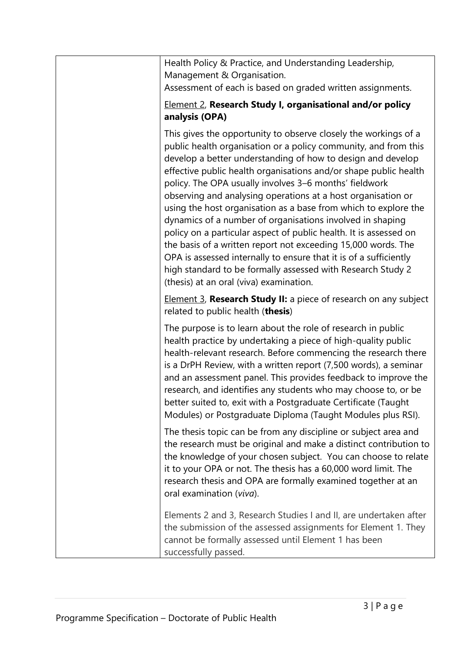| Health Policy & Practice, and Understanding Leadership,<br>Management & Organisation.<br>Assessment of each is based on graded written assignments.                                                                                                                                                                                                                                                                                                                                                                                                                                                                                                                                                                                                                                                                                                  |
|------------------------------------------------------------------------------------------------------------------------------------------------------------------------------------------------------------------------------------------------------------------------------------------------------------------------------------------------------------------------------------------------------------------------------------------------------------------------------------------------------------------------------------------------------------------------------------------------------------------------------------------------------------------------------------------------------------------------------------------------------------------------------------------------------------------------------------------------------|
| <b>Element 2, Research Study I, organisational and/or policy</b><br>analysis (OPA)                                                                                                                                                                                                                                                                                                                                                                                                                                                                                                                                                                                                                                                                                                                                                                   |
| This gives the opportunity to observe closely the workings of a<br>public health organisation or a policy community, and from this<br>develop a better understanding of how to design and develop<br>effective public health organisations and/or shape public health<br>policy. The OPA usually involves 3-6 months' fieldwork<br>observing and analysing operations at a host organisation or<br>using the host organisation as a base from which to explore the<br>dynamics of a number of organisations involved in shaping<br>policy on a particular aspect of public health. It is assessed on<br>the basis of a written report not exceeding 15,000 words. The<br>OPA is assessed internally to ensure that it is of a sufficiently<br>high standard to be formally assessed with Research Study 2<br>(thesis) at an oral (viva) examination. |
| Element 3, Research Study II: a piece of research on any subject<br>related to public health (thesis)                                                                                                                                                                                                                                                                                                                                                                                                                                                                                                                                                                                                                                                                                                                                                |
| The purpose is to learn about the role of research in public<br>health practice by undertaking a piece of high-quality public<br>health-relevant research. Before commencing the research there<br>is a DrPH Review, with a written report (7,500 words), a seminar<br>and an assessment panel. This provides feedback to improve the<br>research, and identifies any students who may choose to, or be<br>better suited to, exit with a Postgraduate Certificate (Taught<br>Modules) or Postgraduate Diploma (Taught Modules plus RSI).                                                                                                                                                                                                                                                                                                             |
| The thesis topic can be from any discipline or subject area and<br>the research must be original and make a distinct contribution to<br>the knowledge of your chosen subject. You can choose to relate<br>it to your OPA or not. The thesis has a 60,000 word limit. The<br>research thesis and OPA are formally examined together at an<br>oral examination (viva).                                                                                                                                                                                                                                                                                                                                                                                                                                                                                 |
| Elements 2 and 3, Research Studies I and II, are undertaken after<br>the submission of the assessed assignments for Element 1. They<br>cannot be formally assessed until Element 1 has been<br>successfully passed.                                                                                                                                                                                                                                                                                                                                                                                                                                                                                                                                                                                                                                  |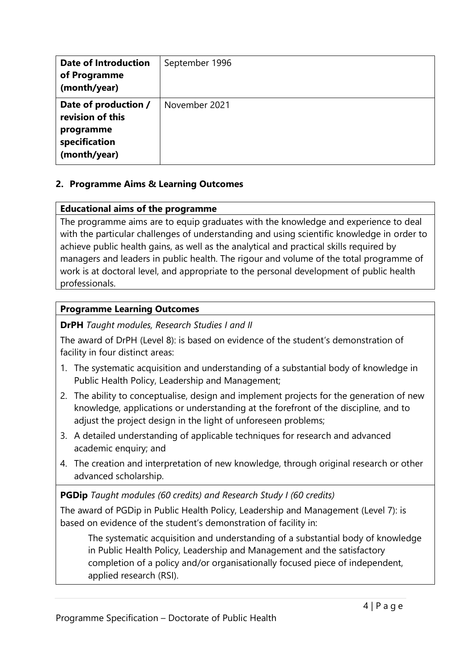| <b>Date of Introduction</b><br>of Programme<br>(month/year)                            | September 1996 |
|----------------------------------------------------------------------------------------|----------------|
| Date of production /<br>revision of this<br>programme<br>specification<br>(month/year) | November 2021  |

## **2. Programme Aims & Learning Outcomes**

#### **Educational aims of the programme**

The programme aims are to equip graduates with the knowledge and experience to deal with the particular challenges of understanding and using scientific knowledge in order to achieve public health gains, as well as the analytical and practical skills required by managers and leaders in public health. The rigour and volume of the total programme of work is at doctoral level, and appropriate to the personal development of public health professionals.

#### **Programme Learning Outcomes**

**DrPH** *Taught modules, Research Studies I and II*

The award of DrPH (Level 8): is based on evidence of the student's demonstration of facility in four distinct areas:

- 1. The systematic acquisition and understanding of a substantial body of knowledge in Public Health Policy, Leadership and Management;
- 2. The ability to conceptualise, design and implement projects for the generation of new knowledge, applications or understanding at the forefront of the discipline, and to adjust the project design in the light of unforeseen problems;
- 3. A detailed understanding of applicable techniques for research and advanced academic enquiry; and
- 4. The creation and interpretation of new knowledge, through original research or other advanced scholarship.

#### **PGDip** *Taught modules (60 credits) and Research Study I (60 credits)*

The award of PGDip in Public Health Policy, Leadership and Management (Level 7): is based on evidence of the student's demonstration of facility in:

The systematic acquisition and understanding of a substantial body of knowledge in Public Health Policy, Leadership and Management and the satisfactory completion of a policy and/or organisationally focused piece of independent, applied research (RSI).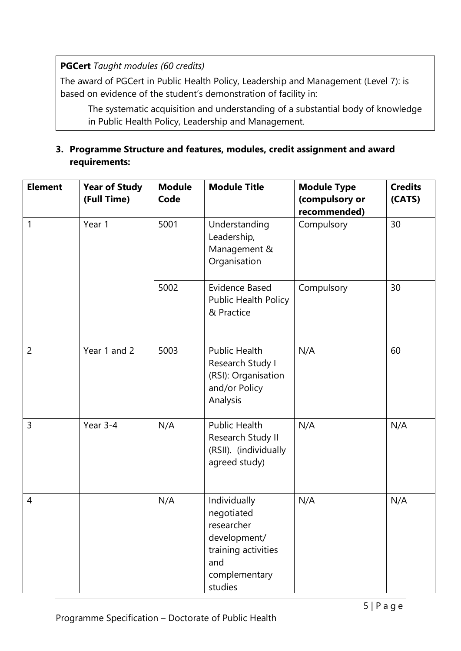**PGCert** *Taught modules (60 credits)*

The award of PGCert in Public Health Policy, Leadership and Management (Level 7): is based on evidence of the student's demonstration of facility in:

The systematic acquisition and understanding of a substantial body of knowledge in Public Health Policy, Leadership and Management.

## **3. Programme Structure and features, modules, credit assignment and award requirements:**

| <b>Element</b> | <b>Year of Study</b><br>(Full Time) | <b>Module</b><br>Code | <b>Module Title</b>                                                                                                | <b>Module Type</b><br>(compulsory or<br>recommended) | <b>Credits</b><br>(CATS) |
|----------------|-------------------------------------|-----------------------|--------------------------------------------------------------------------------------------------------------------|------------------------------------------------------|--------------------------|
| 1              | Year 1                              | 5001                  | Understanding<br>Leadership,<br>Management &<br>Organisation                                                       | Compulsory                                           | 30                       |
|                |                                     | 5002                  | <b>Evidence Based</b><br><b>Public Health Policy</b><br>& Practice                                                 | Compulsory                                           | 30                       |
| $\overline{2}$ | Year 1 and 2                        | 5003                  | <b>Public Health</b><br>Research Study I<br>(RSI): Organisation<br>and/or Policy<br>Analysis                       | N/A                                                  | 60                       |
| 3              | Year 3-4                            | N/A                   | <b>Public Health</b><br>Research Study II<br>(RSII). (individually<br>agreed study)                                | N/A                                                  | N/A                      |
| 4              |                                     | N/A                   | Individually<br>negotiated<br>researcher<br>development/<br>training activities<br>and<br>complementary<br>studies | N/A                                                  | N/A                      |